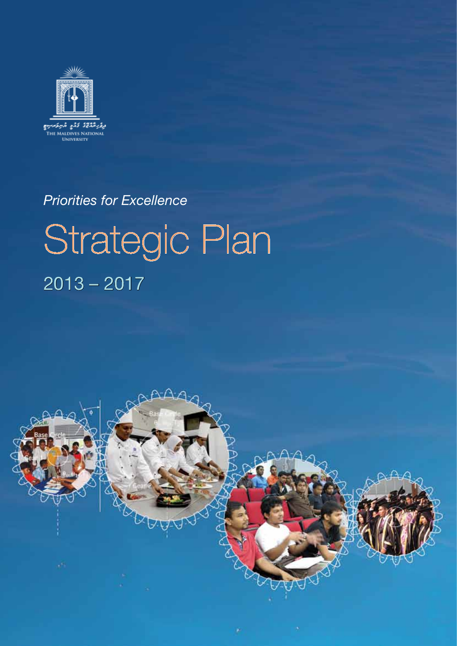

## *Priorities for Excellence*

# Strategic Plan 2013 – 2017

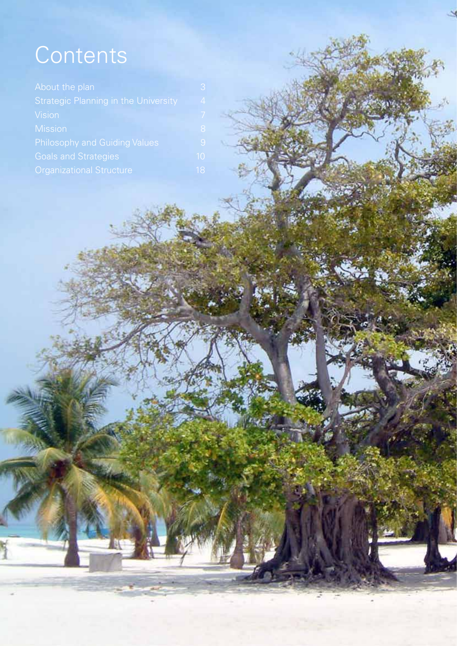## **Contents**

| About the plan                                                                                                         |                             |
|------------------------------------------------------------------------------------------------------------------------|-----------------------------|
| <b>Strategic Planning in the University</b><br><b>Vision</b><br><b>Mission</b><br><b>Philosophy and Guiding Values</b> |                             |
|                                                                                                                        |                             |
|                                                                                                                        |                             |
|                                                                                                                        | <b>Goals and Strategies</b> |
| <b>Organizational Structure</b>                                                                                        |                             |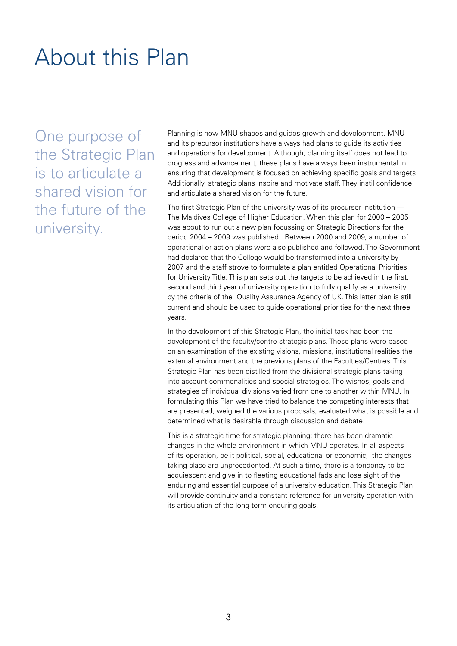## About this Plan

One purpose of the Strategic Plan is to articulate a shared vision for the future of the university.

Planning is how MNU shapes and guides growth and development. MNU and its precursor institutions have always had plans to guide its activities and operations for development. Although, planning itself does not lead to progress and advancement, these plans have always been instrumental in ensuring that development is focused on achieving specific goals and targets. Additionally, strategic plans inspire and motivate staff. They instil confidence and articulate a shared vision for the future.

The first Strategic Plan of the university was of its precursor institution — The Maldives College of Higher Education. When this plan for 2000 – 2005 was about to run out a new plan focussing on Strategic Directions for the period 2004 – 2009 was published. Between 2000 and 2009, a number of operational or action plans were also published and followed. The Government had declared that the College would be transformed into a university by 2007 and the staff strove to formulate a plan entitled Operational Priorities for University Title. This plan sets out the targets to be achieved in the first, second and third year of university operation to fully qualify as a university by the criteria of the Quality Assurance Agency of UK. This latter plan is still current and should be used to guide operational priorities for the next three years.

In the development of this Strategic Plan, the initial task had been the development of the faculty/centre strategic plans. These plans were based on an examination of the existing visions, missions, institutional realities the external environment and the previous plans of the Faculties/Centres. This Strategic Plan has been distilled from the divisional strategic plans taking into account commonalities and special strategies. The wishes, goals and strategies of individual divisions varied from one to another within MNU. In formulating this Plan we have tried to balance the competing interests that are presented, weighed the various proposals, evaluated what is possible and determined what is desirable through discussion and debate.

This is a strategic time for strategic planning; there has been dramatic changes in the whole environment in which MNU operates. In all aspects of its operation, be it political, social, educational or economic, the changes taking place are unprecedented. At such a time, there is a tendency to be acquiescent and give in to fleeting educational fads and lose sight of the enduring and essential purpose of a university education. This Strategic Plan will provide continuity and a constant reference for university operation with its articulation of the long term enduring goals.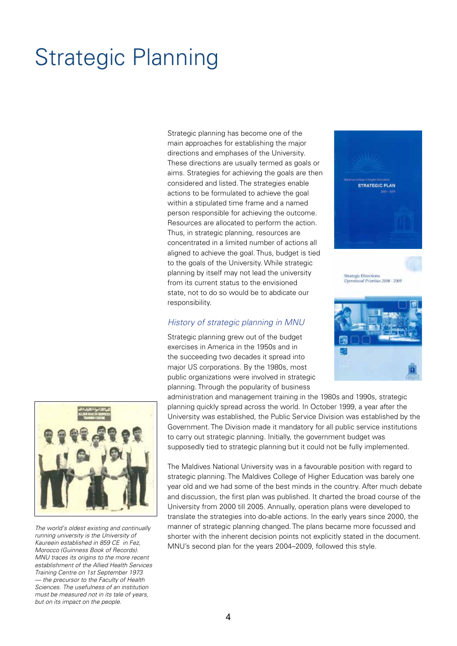## Strategic Planning

Strategic planning has become one of the main approaches for establishing the major directions and emphases of the University. These directions are usually termed as goals or aims. Strategies for achieving the goals are then considered and listed. The strategies enable actions to be formulated to achieve the goal within a stipulated time frame and a named person responsible for achieving the outcome. Resources are allocated to perform the action. Thus, in strategic planning, resources are concentrated in a limited number of actions all aligned to achieve the goal. Thus, budget is tied to the goals of the University. While strategic planning by itself may not lead the university from its current status to the envisioned state, not to do so would be to abdicate our responsibility.

#### *History of strategic planning in MNU*

Strategic planning grew out of the budget exercises in America in the 1950s and in the succeeding two decades it spread into major US corporations. By the 1980s, most public organizations were involved in strategic planning. Through the popularity of business

administration and management training in the 1980s and 1990s, strategic planning quickly spread across the world. In October 1999, a year after the University was established, the Public Service Division was established by the Government. The Division made it mandatory for all public service institutions to carry out strategic planning. Initially, the government budget was supposedly tied to strategic planning but it could not be fully implemented.

The Maldives National University was in a favourable position with regard to strategic planning. The Maldives College of Higher Education was barely one year old and we had some of the best minds in the country. After much debate and discussion, the first plan was published. It charted the broad course of the University from 2000 till 2005. Annually, operation plans were developed to translate the strategies into do-able actions. In the early years since 2000, the manner of strategic planning changed. The plans became more focussed and shorter with the inherent decision points not explicitly stated in the document. MNU's second plan for the years 2004–2009, followed this style.



*The world's oldest existing and continually running university is the University of Kaureein established in 859 CE in Fez, Morocco (Guinness Book of Records). MNU traces its origins to the more recent establishment of the Allied Health Services Training Centre on 1st September 1973 — the precursor to the Faculty of Health Sciences. The usefulness of an institution must be measured not in its tale of years, but on its impact on the people.*



**Strategic Directions** Operational Principles 2004 - 2009

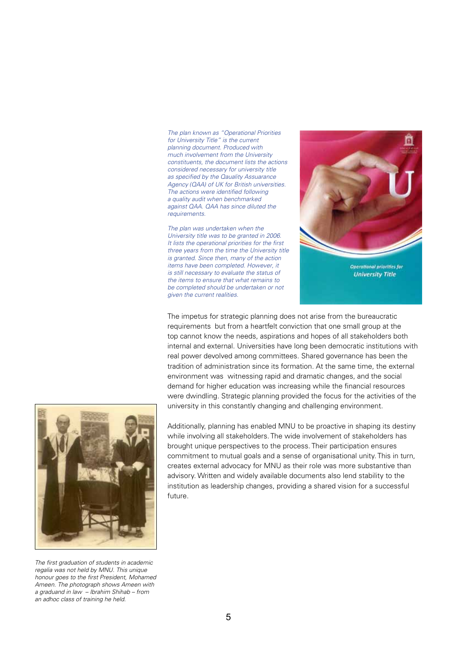The plan known as "Operational Priorities *for University Title" is the current*  planning document. Produced with *much involvement from the University constituents, the document lists the actions considered necessary for university title*  as specified by the Qauality Assuarance Agency (QAA) of UK for British universities. The actions were identified following *a quality audit when benchmarked*  against QAA. QAA has since diluted the *requirements.*

*The plan was undertaken when the University title was to be granted in 2006.*  It lists the operational priorities for the first *three years from the time the University title is granted. Since then, many of the action items have been completed. However, it is still necessary to evaluate the status of the items to ensure that what remains to be completed should be undertaken or not given the current realities.*



Operational priorities for **University Title** 

The impetus for strategic planning does not arise from the bureaucratic requirements but from a heartfelt conviction that one small group at the top cannot know the needs, aspirations and hopes of all stakeholders both internal and external. Universities have long been democratic institutions with real power devolved among committees. Shared governance has been the tradition of administration since its formation. At the same time, the external environment was witnessing rapid and dramatic changes, and the social demand for higher education was increasing while the financial resources were dwindling. Strategic planning provided the focus for the activities of the university in this constantly changing and challenging environment.



The first graduation of students in academic *regalia was not held by MNU. This unique*  honour goes to the first President, Mohamed *Ameen. The photograph shows Ameen with a graduand in law – Ibrahim Shihab – from an adhoc class of training he held.*

Additionally, planning has enabled MNU to be proactive in shaping its destiny while involving all stakeholders. The wide involvement of stakeholders has brought unique perspectives to the process. Their participation ensures commitment to mutual goals and a sense of organisational unity. This in turn, creates external advocacy for MNU as their role was more substantive than advisory. Written and widely available documents also lend stability to the institution as leadership changes, providing a shared vision for a successful future.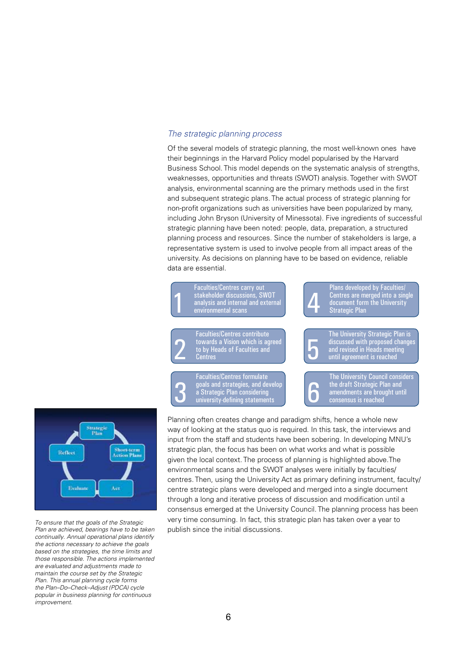#### *The strategic planning process*

Of the several models of strategic planning, the most well-known ones have their beginnings in the Harvard Policy model popularised by the Harvard Business School. This model depends on the systematic analysis of strengths, weaknesses, opportunities and threats (SWOT) analysis. Together with SWOT analysis, environmental scanning are the primary methods used in the first and subsequent strategic plans. The actual process of strategic planning for non-profit organizations such as universities have been popularized by many, including John Bryson (University of Minessota). Five ingredients of successful strategic planning have been noted: people, data, preparation, a structured planning process and resources. Since the number of stakeholders is large, a representative system is used to involve people from all impact areas of the university. As decisions on planning have to be based on evidence, reliable data are essential.





*To ensure that the goals of the Strategic*  Plan are achieved, bearings have to be taken *continually. Annual operational plans identify the actions necessary to achieve the goals based on the strategies, the time limits and those responsible. The actions implemented are evaluated and adjustments made to maintain the course set by the Strategic*  Plan. This annual planning cycle forms the Plan–Do–Check–Adjust (PDCA) cycle *popular in business planning for continuous improvement.*

Planning often creates change and paradigm shifts, hence a whole new way of looking at the status quo is required. In this task, the interviews and input from the staff and students have been sobering. In developing MNU's strategic plan, the focus has been on what works and what is possible given the local context. The process of planning is highlighted above.The environmental scans and the SWOT analyses were initially by faculties/ centres. Then, using the University Act as primary defining instrument, faculty/ centre strategic plans were developed and merged into a single document through a long and iterative process of discussion and modification until a consensus emerged at the University Council. The planning process has been very time consuming. In fact, this strategic plan has taken over a year to publish since the initial discussions.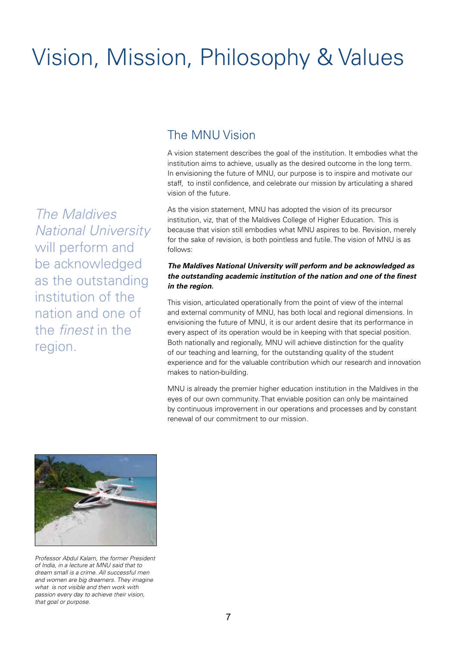## Vision, Mission, Philosophy & Values

#### The MNU Vision

A vision statement describes the goal of the institution. It embodies what the institution aims to achieve, usually as the desired outcome in the long term. In envisioning the future of MNU, our purpose is to inspire and motivate our staff, to instil confidence, and celebrate our mission by articulating a shared vision of the future.

As the vision statement, MNU has adopted the vision of its precursor institution, viz, that of the Maldives College of Higher Education. This is because that vision still embodies what MNU aspires to be. Revision, merely for the sake of revision, is both pointless and futile. The vision of MNU is as follows:

#### *The Maldives National University will perform and be acknowledged as the outstanding academic institution of the nation and one of the finest in the region.*

This vision, articulated operationally from the point of view of the internal and external community of MNU, has both local and regional dimensions. In envisioning the future of MNU, it is our ardent desire that its performance in every aspect of its operation would be in keeping with that special position. Both nationally and regionally, MNU will achieve distinction for the quality of our teaching and learning, for the outstanding quality of the student experience and for the valuable contribution which our research and innovation makes to nation-building.

MNU is already the premier higher education institution in the Maldives in the eyes of our own community. That enviable position can only be maintained by continuous improvement in our operations and processes and by constant renewal of our commitment to our mission.



*The Maldives* 

*National University* 

will perform and

be acknowledged

as the outstanding

institution of the

nation and one of

the *finest* in the

region.

Professor Abdul Kalam, the former President *of India, in a lecture at MNU said that to dream small is a crime. All successful men and women are big dreamers. They imagine what is not visible and then work with passion every day to achieve their vision, that goal or purpose.*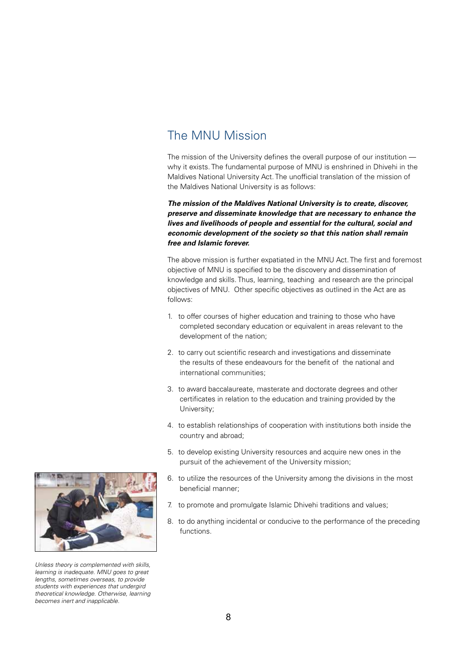#### The MNU Mission

The mission of the University defines the overall purpose of our institution why it exists. The fundamental purpose of MNU is enshrined in Dhivehi in the Maldives National University Act. The unofficial translation of the mission of the Maldives National University is as follows:

*The mission of the Maldives National University is to create, discover, preserve and disseminate knowledge that are necessary to enhance the lives and livelihoods of people and essential for the cultural, social and economic development of the society so that this nation shall remain free and Islamic forever.*

The above mission is further expatiated in the MNU Act. The first and foremost objective of MNU is specified to be the discovery and dissemination of knowledge and skills. Thus, learning, teaching and research are the principal objectives of MNU. Other specific objectives as outlined in the Act are as follows:

- 1. to offer courses of higher education and training to those who have completed secondary education or equivalent in areas relevant to the development of the nation;
- 2. to carry out scientific research and investigations and disseminate the results of these endeavours for the benefit of the national and international communities;
- 3. to award baccalaureate, masterate and doctorate degrees and other certificates in relation to the education and training provided by the University;
- 4. to establish relationships of cooperation with institutions both inside the country and abroad;
- 5. to develop existing University resources and acquire new ones in the pursuit of the achievement of the University mission;
- 6. to utilize the resources of the University among the divisions in the most beneficial manner;
- 7. to promote and promulgate Islamic Dhivehi traditions and values;
- 8. to do anything incidental or conducive to the performance of the preceding functions.



*Unless theory is complemented with skills, learning is inadequate. MNU goes to great lengths, sometimes overseas, to provide students with experiences that undergird theoretical knowledge. Otherwise, learning becomes inert and inapplicable.*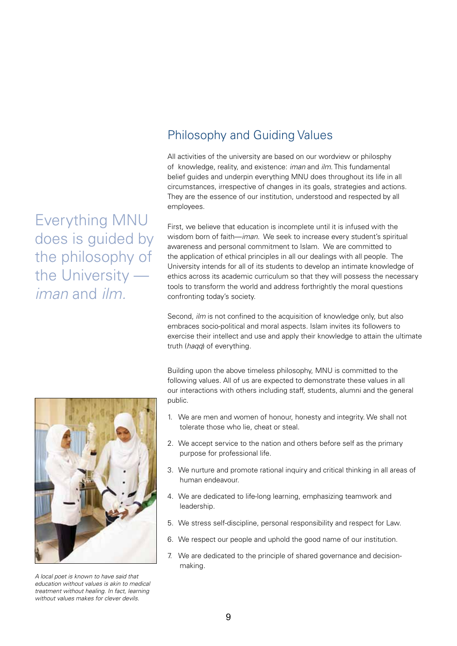Everything MNU does is guided by the philosophy of the University *iman* and *ilm.*

### Philosophy and Guiding Values

All activities of the university are based on our wordview or philosphy of knowledge, reality, and existence: *iman* and *ilm*. This fundamental belief guides and underpin everything MNU does throughout its life in all circumstances, irrespective of changes in its goals, strategies and actions. They are the essence of our institution, understood and respected by all employees.

First, we believe that education is incomplete until it is infused with the wisdom born of faith—*iman*. We seek to increase every student's spiritual awareness and personal commitment to Islam. We are committed to the application of ethical principles in all our dealings with all people. The University intends for all of its students to develop an intimate knowledge of ethics across its academic curriculum so that they will possess the necessary tools to transform the world and address forthrightly the moral questions confronting today's society.

Second, *ilm* is not confined to the acquisition of knowledge only, but also embraces socio-political and moral aspects. Islam invites its followers to exercise their intellect and use and apply their knowledge to attain the ultimate truth (*haqq*) of everything.

Building upon the above timeless philosophy, MNU is committed to the following values. All of us are expected to demonstrate these values in all our interactions with others including staff, students, alumni and the general public.

- 1. We are men and women of honour, honesty and integrity. We shall not tolerate those who lie, cheat or steal.
- 2. We accept service to the nation and others before self as the primary purpose for professional life.
- 3. We nurture and promote rational inquiry and critical thinking in all areas of human endeavour.
- 4. We are dedicated to life-long learning, emphasizing teamwork and leadership.
- 5. We stress self-discipline, personal responsibility and respect for Law.
- 6. We respect our people and uphold the good name of our institution.
- 7. We are dedicated to the principle of shared governance and decisionmaking.



*A local poet is known to have said that education without values is akin to medical treatment without healing. In fact, learning without values makes for clever devils.*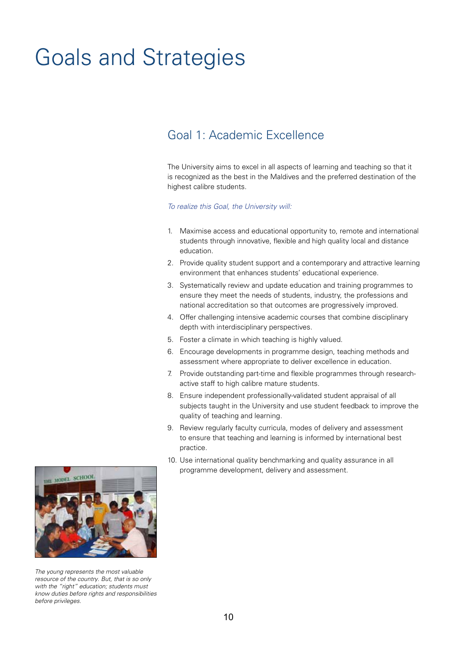## Goals and Strategies

### Goal 1: Academic Excellence

The University aims to excel in all aspects of learning and teaching so that it is recognized as the best in the Maldives and the preferred destination of the highest calibre students.

- 1. Maximise access and educational opportunity to, remote and international students through innovative, flexible and high quality local and distance education.
- 2. Provide quality student support and a contemporary and attractive learning environment that enhances students' educational experience.
- 3. Systematically review and update education and training programmes to ensure they meet the needs of students, industry, the professions and national accreditation so that outcomes are progressively improved.
- 4. Offer challenging intensive academic courses that combine disciplinary depth with interdisciplinary perspectives.
- 5. Foster a climate in which teaching is highly valued.
- 6. Encourage developments in programme design, teaching methods and assessment where appropriate to deliver excellence in education.
- 7. Provide outstanding part-time and flexible programmes through researchactive staff to high calibre mature students.
- 8. Ensure independent professionally-validated student appraisal of all subjects taught in the University and use student feedback to improve the quality of teaching and learning.
- 9. Review regularly faculty curricula, modes of delivery and assessment to ensure that teaching and learning is informed by international best practice.
- 10. Use international quality benchmarking and quality assurance in all programme development, delivery and assessment.



*The young represents the most valuable resource of the country. But, that is so only with the "right" education; students must know duties before rights and responsibilities before privileges.*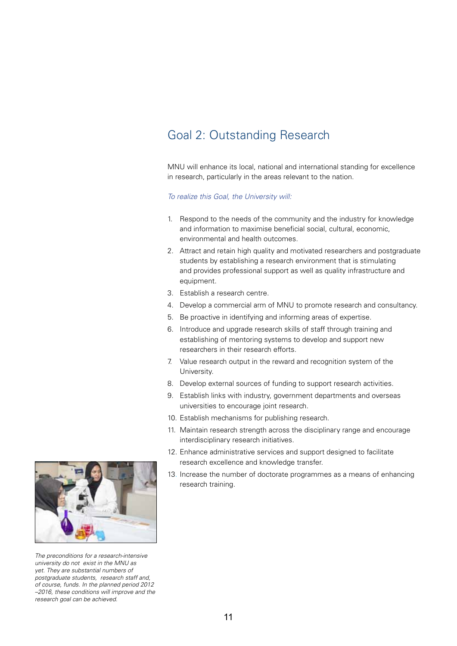## Goal 2: Outstanding Research

MNU will enhance its local, national and international standing for excellence in research, particularly in the areas relevant to the nation.

- 1. Respond to the needs of the community and the industry for knowledge and information to maximise beneficial social, cultural, economic, environmental and health outcomes.
- 2. Attract and retain high quality and motivated researchers and postgraduate students by establishing a research environment that is stimulating and provides professional support as well as quality infrastructure and equipment.
- 3. Establish a research centre.
- 4. Develop a commercial arm of MNU to promote research and consultancy.
- 5. Be proactive in identifying and informing areas of expertise.
- 6. Introduce and upgrade research skills of staff through training and establishing of mentoring systems to develop and support new researchers in their research efforts.
- 7. Value research output in the reward and recognition system of the University.
- 8. Develop external sources of funding to support research activities.
- 9. Establish links with industry, government departments and overseas universities to encourage joint research.
- 10. Establish mechanisms for publishing research.
- 11. Maintain research strength across the disciplinary range and encourage interdisciplinary research initiatives.
- 12. Enhance administrative services and support designed to facilitate research excellence and knowledge transfer.
- 13. Increase the number of doctorate programmes as a means of enhancing research training.



*The preconditions for a research-intensive university do not exist in the MNU as yet. They are substantial numbers of postgraduate students, research staff and, of course, funds. In the planned period 2012 –2016, these conditions will improve and the research goal can be achieved.*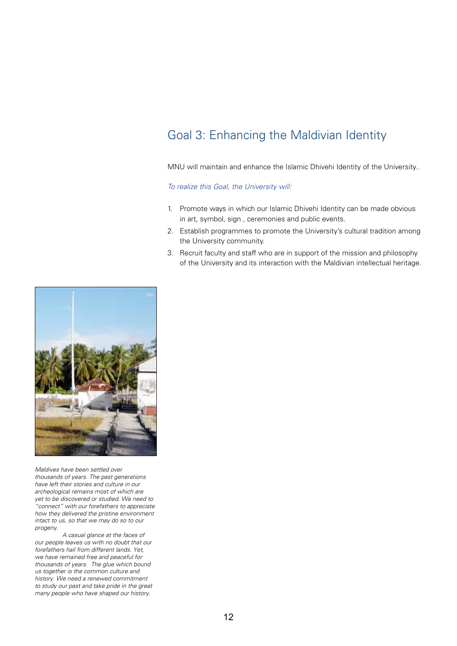## Goal 3: Enhancing the Maldivian Identity

MNU will maintain and enhance the Islamic Dhivehi Identity of the University..

*To realize this Goal, the University will:*

- 1. Promote ways in which our Islamic Dhivehi Identity can be made obvious in art, symbol, sign , ceremonies and public events.
- 2. Establish programmes to promote the University's cultural tradition among the University community.
- 3. Recruit faculty and staff who are in support of the mission and philosophy of the University and its interaction with the Maldivian intellectual heritage.



*Maldives have been settled over thousands of years. The past generations have left their stories and culture in our archeological remains most of which are yet to be discovered or studied. We need to "connect" with our forefathers to appreciate how they delivered the pristine environment intact to us, so that we may do so to our progeny.*

*A casual glance at the faces of our people leaves us with no doubt that our forefathers hail from different lands. Yet, we have remained free and peaceful for thousands of years. The glue which bound us together is the common culture and history. We need a renewed commitment to study our past and take pride in the great many people who have shaped our history.*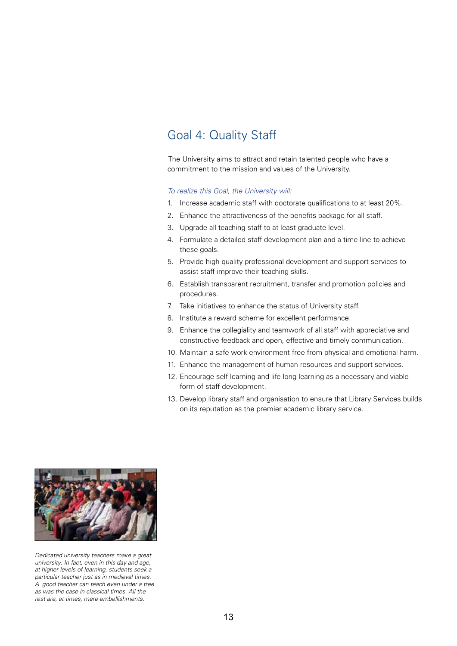#### Goal 4: Quality Staff

The University aims to attract and retain talented people who have a commitment to the mission and values of the University.

- 1. Increase academic staff with doctorate qualifications to at least 20%.
- 2. Enhance the attractiveness of the benefits package for all staff.
- 3. Upgrade all teaching staff to at least graduate level.
- 4. Formulate a detailed staff development plan and a time-line to achieve these goals.
- 5. Provide high quality professional development and support services to assist staff improve their teaching skills.
- 6. Establish transparent recruitment, transfer and promotion policies and procedures.
- 7. Take initiatives to enhance the status of University staff.
- 8. Institute a reward scheme for excellent performance.
- 9. Enhance the collegiality and teamwork of all staff with appreciative and constructive feedback and open, effective and timely communication.
- 10. Maintain a safe work environment free from physical and emotional harm.
- 11. Enhance the management of human resources and support services.
- 12. Encourage self-learning and life-long learning as a necessary and viable form of staff development.
- 13. Develop library staff and organisation to ensure that Library Services builds on its reputation as the premier academic library service.



Dedicated university teachers make a great *university. In fact, even in this day and age, at higher levels of learning, students seek a particular teacher just as in medieval times. A good teacher can teach even under a tree as was the case in classical times. All the rest are, at times, mere embellishments.*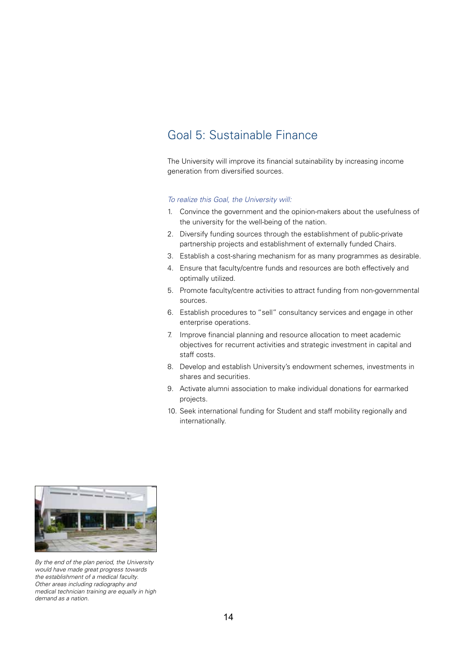### Goal 5: Sustainable Finance

The University will improve its financial sutainability by increasing income generation from diversified sources.

- 1. Convince the government and the opinion-makers about the usefulness of the university for the well-being of the nation.
- 2. Diversify funding sources through the establishment of public-private partnership projects and establishment of externally funded Chairs.
- 3. Establish a cost-sharing mechanism for as many programmes as desirable.
- 4. Ensure that faculty/centre funds and resources are both effectively and optimally utilized.
- 5. Promote faculty/centre activities to attract funding from non-governmental sources.
- 6. Establish procedures to "sell" consultancy services and engage in other enterprise operations.
- 7. Improve financial planning and resource allocation to meet academic objectives for recurrent activities and strategic investment in capital and staff costs.
- 8. Develop and establish University's endowment schemes, investments in shares and securities.
- 9. Activate alumni association to make individual donations for earmarked projects.
- 10. Seek international funding for Student and staff mobility regionally and internationally.



*By the end of the plan period, the University would have made great progress towards the establishment of a medical faculty. Other areas including radiography and medical technician training are equally in high demand as a nation.*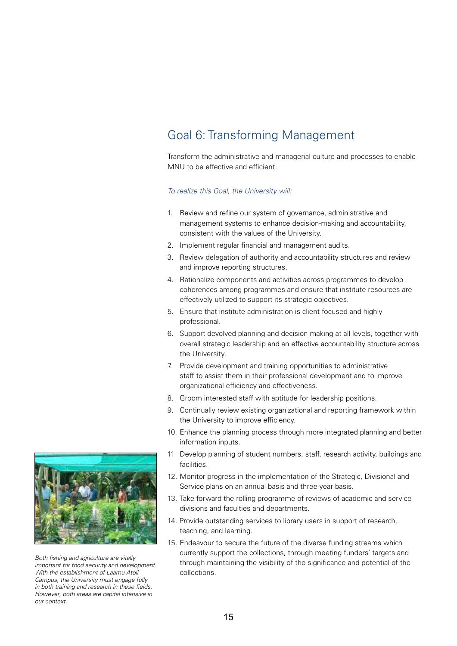## Goal 6: Transforming Management

Transform the administrative and managerial culture and processes to enable MNU to be effective and efficient.

#### *To realize this Goal, the University will:*

- 1. Review and refine our system of governance, administrative and management systems to enhance decision-making and accountability, consistent with the values of the University.
- 2. Implement regular financial and management audits.
- 3. Review delegation of authority and accountability structures and review and improve reporting structures.
- 4. Rationalize components and activities across programmes to develop coherences among programmes and ensure that institute resources are effectively utilized to support its strategic objectives.
- 5. Ensure that institute administration is client-focused and highly professional.
- 6. Support devolved planning and decision making at all levels, together with overall strategic leadership and an effective accountability structure across the University.
- 7. Provide development and training opportunities to administrative staff to assist them in their professional development and to improve organizational efficiency and effectiveness.
- 8. Groom interested staff with aptitude for leadership positions.
- 9. Continually review existing organizational and reporting framework within the University to improve efficiency.
- 10. Enhance the planning process through more integrated planning and better information inputs.
- 11 Develop planning of student numbers, staff, research activity, buildings and facilities.
- 12. Monitor progress in the implementation of the Strategic, Divisional and Service plans on an annual basis and three-year basis.
- 13. Take forward the rolling programme of reviews of academic and service divisions and faculties and departments.
- 14. Provide outstanding services to library users in support of research, teaching, and learning.
- 15. Endeavour to secure the future of the diverse funding streams which currently support the collections, through meeting funders' targets and through maintaining the visibility of the significance and potential of the collections.



Both fishing and agriculture are vitally *important for food security and development. With the establishment of Laamu Atoll Campus, the University must engage fully*  in both training and research in these fields. *However, both areas are capital intensive in our context.*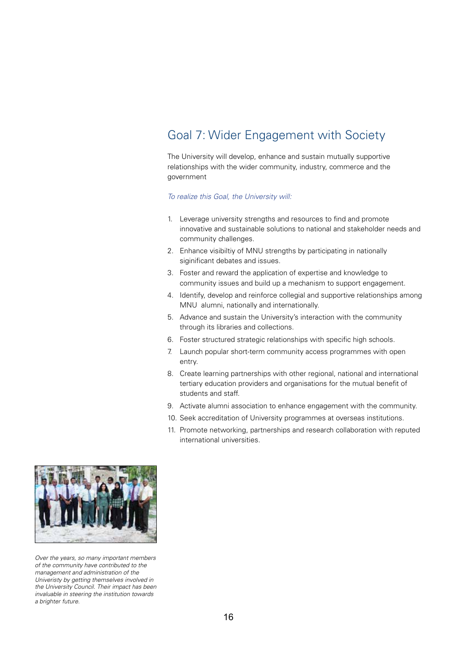## Goal 7: Wider Engagement with Society

The University will develop, enhance and sustain mutually supportive relationships with the wider community, industry, commerce and the government

- 1. Leverage university strengths and resources to find and promote innovative and sustainable solutions to national and stakeholder needs and community challenges.
- 2. Enhance visibiltiy of MNU strengths by participating in nationally siginificant debates and issues.
- 3. Foster and reward the application of expertise and knowledge to community issues and build up a mechanism to support engagement.
- 4. Identify, develop and reinforce collegial and supportive relationships among MNU alumni, nationally and internationally.
- 5. Advance and sustain the University's interaction with the community through its libraries and collections.
- 6. Foster structured strategic relationships with specific high schools.
- 7. Launch popular short-term community access programmes with open entry.
- 8. Create learning partnerships with other regional, national and international tertiary education providers and organisations for the mutual benefit of students and staff.
- 9. Activate alumni association to enhance engagement with the community.
- 10. Seek accreditation of University programmes at overseas institutions.
- 11. Promote networking, partnerships and research collaboration with reputed international universities.



*Over the years, so many important members of the community have contributed to the management and administration of the Univeristy by getting themselves involved in the University Council. Their impact has been invaluable in steering the institution towards a brighter future.*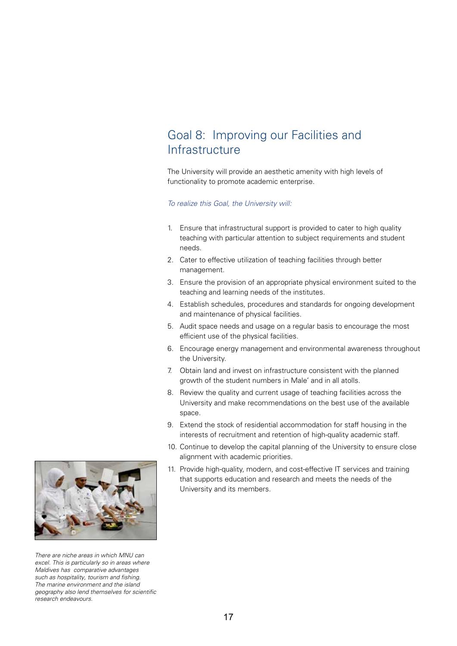### Goal 8: Improving our Facilities and **Infrastructure**

The University will provide an aesthetic amenity with high levels of functionality to promote academic enterprise.

- 1. Ensure that infrastructural support is provided to cater to high quality teaching with particular attention to subject requirements and student needs.
- 2. Cater to effective utilization of teaching facilities through better management.
- 3. Ensure the provision of an appropriate physical environment suited to the teaching and learning needs of the institutes.
- 4. Establish schedules, procedures and standards for ongoing development and maintenance of physical facilities.
- 5. Audit space needs and usage on a regular basis to encourage the most efficient use of the physical facilities.
- 6. Encourage energy management and environmental awareness throughout the University.
- 7. Obtain land and invest on infrastructure consistent with the planned growth of the student numbers in Male' and in all atolls.
- 8. Review the quality and current usage of teaching facilities across the University and make recommendations on the best use of the available space.
- 9. Extend the stock of residential accommodation for staff housing in the interests of recruitment and retention of high-quality academic staff.
- 10. Continue to develop the capital planning of the University to ensure close alignment with academic priorities.
- 11. Provide high-quality, modern, and cost-effective IT services and training that supports education and research and meets the needs of the University and its members.



*There are niche areas in which MNU can excel. This is particularly so in areas where Maldives has comparative advantages*  such as hospitality, tourism and fishing. *The marine environment and the island*  geography also lend themselves for scientific *research endeavours.*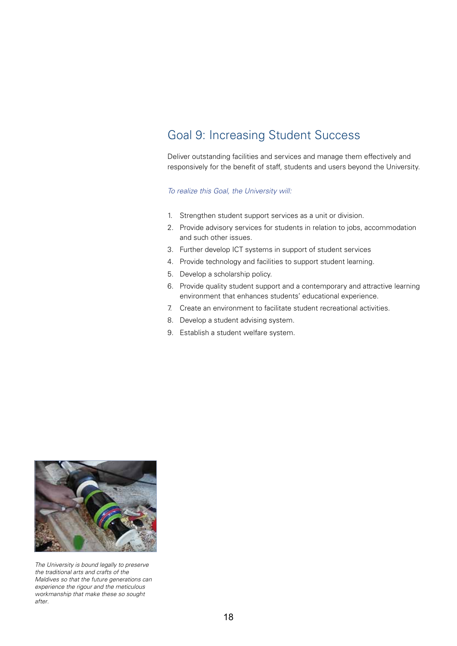## Goal 9: Increasing Student Success

Deliver outstanding facilities and services and manage them effectively and responsively for the benefit of staff, students and users beyond the University.

- 1. Strengthen student support services as a unit or division.
- 2. Provide advisory services for students in relation to jobs, accommodation and such other issues.
- 3. Further develop ICT systems in support of student services
- 4. Provide technology and facilities to support student learning.
- 5. Develop a scholarship policy.
- 6. Provide quality student support and a contemporary and attractive learning environment that enhances students' educational experience.
- 7. Create an environment to facilitate student recreational activities.
- 8. Develop a student advising system.
- 9. Establish a student welfare system.



*The University is bound legally to preserve the traditional arts and crafts of the Maldives so that the future generations can experience the rigour and the meticulous workmanship that make these so sought after.*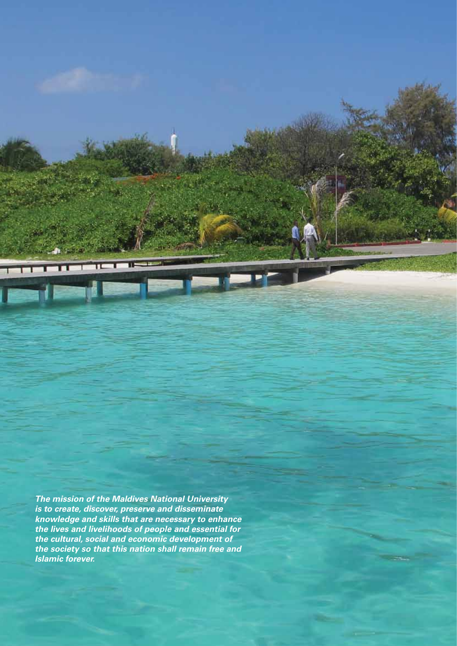*The mission of the Maldives National University is to create, discover, preserve and disseminate knowledge and skills that are necessary to enhance the lives and livelihoods of people and essential for the cultural, social and economic development of the society so that this nation shall remain free and Islamic forever.*

THE FILE IS

 $\mathbf{m}$ 

۰.